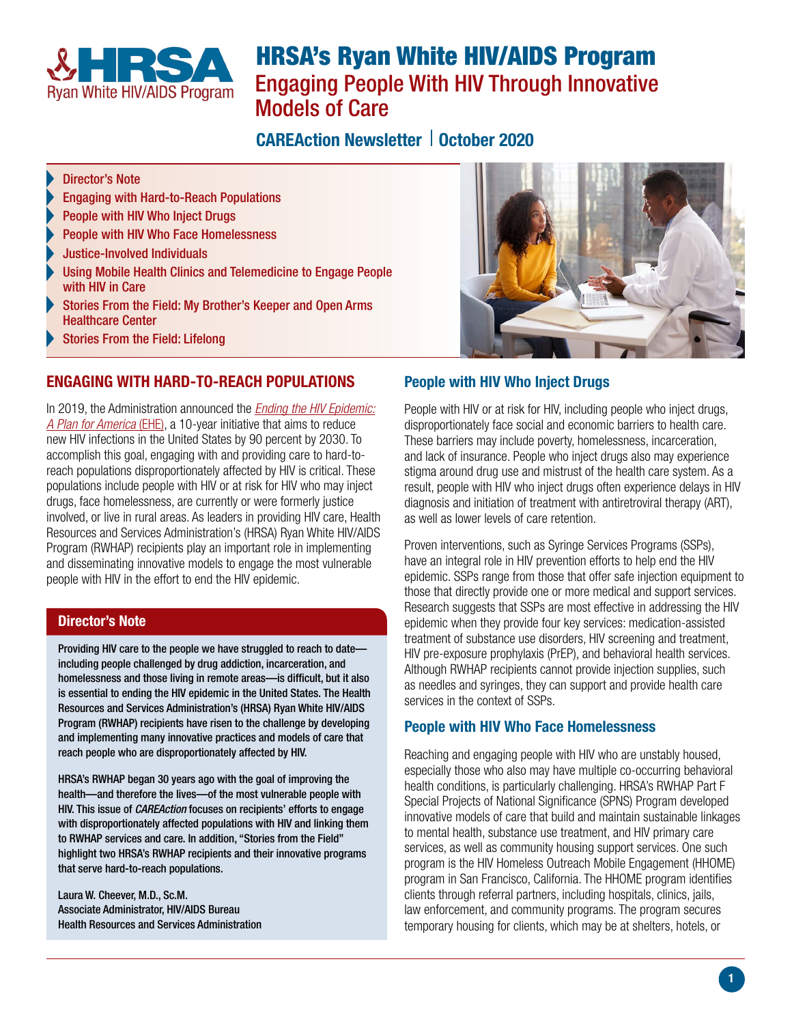

# HRSA's Ryan White HIV/AIDS Program Engaging People With HIV Through Innovative Models of Care

# CAREAction Newsletter | October 2020

#### Director's Note

- [Engaging with Hard-to-Reach Populations](#page-0-0)
- [People with HIV Who Inject Drugs](#page-0-1)
- [People with HIV Who Face Homelessness](#page-0-2)
- [Justice-Involved Individuals](#page-1-0)
- [Using Mobile Health Clinics and Telemedicine to Engage People](#page-1-1)  [with HIV in Care](#page-1-1)
- Stories From the Field: My Brother's Keeper and Open Arms Healthcare Center
- [Stories From the Field: Lifelong](#page-2-0)

# <span id="page-0-0"></span>ENGAGING WITH HARD-TO-REACH POPULATIONS

In 2019, the Administration announced the *[Ending the HIV Epidemic:](https://www.hiv.gov/federal-response/ending-the-hiv-epidemic/overview)  [A Plan for America](https://www.hiv.gov/federal-response/ending-the-hiv-epidemic/overview)* (EHE), a 10-year initiative that aims to reduce new HIV infections in the United States by 90 percent by 2030. To accomplish this goal, engaging with and providing care to hard-toreach populations disproportionately affected by HIV is critical. These populations include people with HIV or at risk for HIV who may inject drugs, face homelessness, are currently or were formerly justice involved, or live in rural areas. As leaders in providing HIV care, Health Resources and Services Administration's (HRSA) Ryan White HIV/AIDS Program (RWHAP) recipients play an important role in implementing and disseminating innovative models to engage the most vulnerable people with HIV in the effort to end the HIV epidemic.

#### Director's Note

Providing HIV care to the people we have struggled to reach to date including people challenged by drug addiction, incarceration, and homelessness and those living in remote areas—is difficult, but it also is essential to ending the HIV epidemic in the United States. The Health Resources and Services Administration's (HRSA) Ryan White HIV/AIDS Program (RWHAP) recipients have risen to the challenge by developing and implementing many innovative practices and models of care that reach people who are disproportionately affected by HIV.

HRSA's RWHAP began 30 years ago with the goal of improving the health—and therefore the lives—of the most vulnerable people with HIV. This issue of *CAREAction* focuses on recipients' efforts to engage with disproportionately affected populations with HIV and linking them to RWHAP services and care. In addition, "Stories from the Field" highlight two HRSA's RWHAP recipients and their innovative programs that serve hard-to-reach populations.

Laura W. Cheever, M.D., Sc.M. Associate Administrator, HIV/AIDS Bureau Health Resources and Services Administration



#### <span id="page-0-1"></span>People with HIV Who Inject Drugs

People with HIV or at risk for HIV, including people who inject drugs, disproportionately face social and economic barriers to health care. These barriers may include poverty, homelessness, incarceration, and lack of insurance. People who inject drugs also may experience stigma around drug use and mistrust of the health care system. As a result, people with HIV who inject drugs often experience delays in HIV diagnosis and initiation of treatment with antiretroviral therapy (ART), as well as lower levels of care retention.

Proven interventions, such as Syringe Services Programs (SSPs), have an integral role in HIV prevention efforts to help end the HIV epidemic. SSPs range from those that offer safe injection equipment to those that directly provide one or more medical and support services. Research suggests that SSPs are most effective in addressing the HIV epidemic when they provide four key services: medication-assisted treatment of substance use disorders, HIV screening and treatment, HIV pre-exposure prophylaxis (PrEP), and behavioral health services. Although RWHAP recipients cannot provide injection supplies, such as needles and syringes, they can support and provide health care services in the context of SSPs.

#### <span id="page-0-2"></span>People with HIV Who Face Homelessness

Reaching and engaging people with HIV who are unstably housed, especially those who also may have multiple co-occurring behavioral health conditions, is particularly challenging. HRSA's RWHAP Part F Special Projects of National Significance (SPNS) Program developed innovative models of care that build and maintain sustainable linkages to mental health, substance use treatment, and HIV primary care services, as well as community housing support services. One such program is the HIV Homeless Outreach Mobile Engagement (HHOME) program in San Francisco, California. The HHOME program identifies clients through referral partners, including hospitals, clinics, jails, law enforcement, and community programs. The program secures temporary housing for clients, which may be at shelters, hotels, or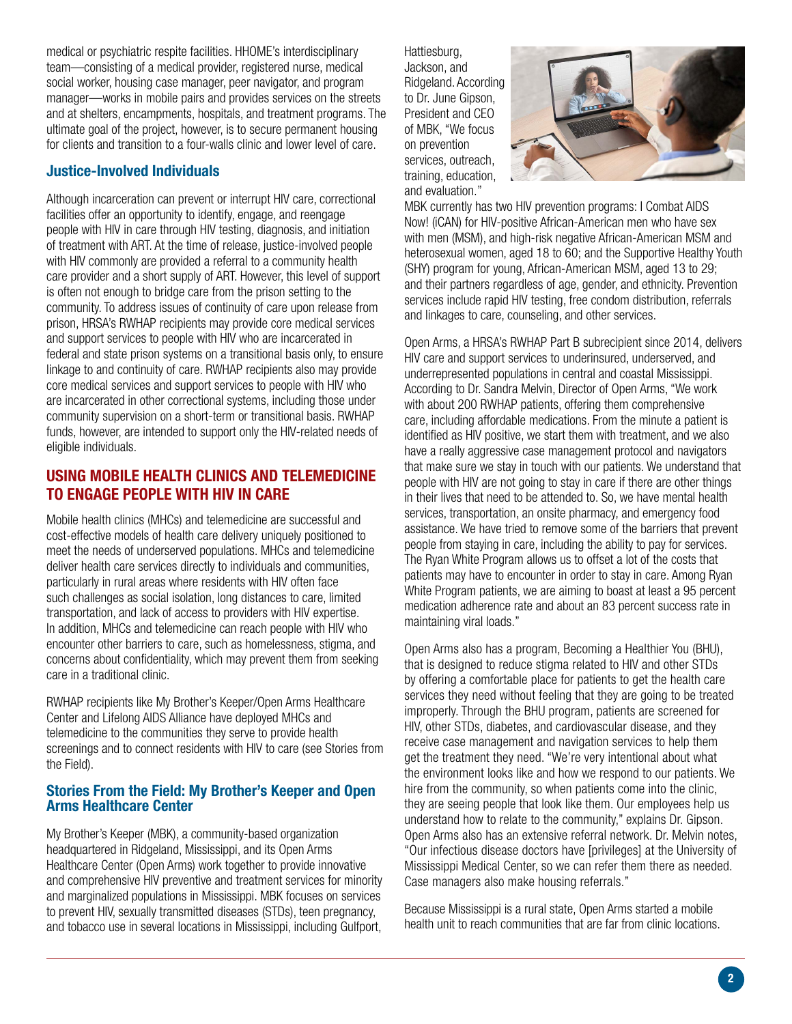medical or psychiatric respite facilities. HHOME's interdisciplinary team—consisting of a medical provider, registered nurse, medical social worker, housing case manager, peer navigator, and program manager—works in mobile pairs and provides services on the streets and at shelters, encampments, hospitals, and treatment programs. The ultimate goal of the project, however, is to secure permanent housing for clients and transition to a four-walls clinic and lower level of care.

# <span id="page-1-0"></span>Justice-Involved Individuals

Although incarceration can prevent or interrupt HIV care, correctional facilities offer an opportunity to identify, engage, and reengage people with HIV in care through HIV testing, diagnosis, and initiation of treatment with ART. At the time of release, justice-involved people with HIV commonly are provided a referral to a community health care provider and a short supply of ART. However, this level of support is often not enough to bridge care from the prison setting to the community. To address issues of continuity of care upon release from prison, HRSA's RWHAP recipients may provide core medical services and support services to people with HIV who are incarcerated in federal and state prison systems on a transitional basis only, to ensure linkage to and continuity of care. RWHAP recipients also may provide core medical services and support services to people with HIV who are incarcerated in other correctional systems, including those under community supervision on a short-term or transitional basis. RWHAP funds, however, are intended to support only the HIV-related needs of eligible individuals.

# <span id="page-1-1"></span>USING MOBILE HEALTH CLINICS AND TELEMEDICINE TO ENGAGE PEOPLE WITH HIV IN CARE

Mobile health clinics (MHCs) and telemedicine are successful and cost-effective models of health care delivery uniquely positioned to meet the needs of underserved populations. MHCs and telemedicine deliver health care services directly to individuals and communities, particularly in rural areas where residents with HIV often face such challenges as social isolation, long distances to care, limited transportation, and lack of access to providers with HIV expertise. In addition, MHCs and telemedicine can reach people with HIV who encounter other barriers to care, such as homelessness, stigma, and concerns about confidentiality, which may prevent them from seeking care in a traditional clinic.

RWHAP recipients like My Brother's Keeper/Open Arms Healthcare Center and Lifelong AIDS Alliance have deployed MHCs and telemedicine to the communities they serve to provide health screenings and to connect residents with HIV to care (see Stories from the Field).

#### Stories From the Field: My Brother's Keeper and Open Arms Healthcare Center

My Brother's Keeper (MBK), a community-based organization headquartered in Ridgeland, Mississippi, and its Open Arms Healthcare Center (Open Arms) work together to provide innovative and comprehensive HIV preventive and treatment services for minority and marginalized populations in Mississippi. MBK focuses on services to prevent HIV, sexually transmitted diseases (STDs), teen pregnancy, and tobacco use in several locations in Mississippi, including Gulfport, Hattiesburg, Jackson, and Ridgeland. According to Dr. June Gipson, President and CEO of MBK, "We focus on prevention services, outreach, training, education, and evaluation."



MBK currently has two HIV prevention programs: I Combat AIDS Now! (iCAN) for HIV-positive African-American men who have sex with men (MSM), and high-risk negative African-American MSM and heterosexual women, aged 18 to 60; and the Supportive Healthy Youth (SHY) program for young, African-American MSM, aged 13 to 29; and their partners regardless of age, gender, and ethnicity. Prevention services include rapid HIV testing, free condom distribution, referrals and linkages to care, counseling, and other services.

Open Arms, a HRSA's RWHAP Part B subrecipient since 2014, delivers HIV care and support services to underinsured, underserved, and underrepresented populations in central and coastal Mississippi. According to Dr. Sandra Melvin, Director of Open Arms, "We work with about 200 RWHAP patients, offering them comprehensive care, including affordable medications. From the minute a patient is identified as HIV positive, we start them with treatment, and we also have a really aggressive case management protocol and navigators that make sure we stay in touch with our patients. We understand that people with HIV are not going to stay in care if there are other things in their lives that need to be attended to. So, we have mental health services, transportation, an onsite pharmacy, and emergency food assistance. We have tried to remove some of the barriers that prevent people from staying in care, including the ability to pay for services. The Ryan White Program allows us to offset a lot of the costs that patients may have to encounter in order to stay in care. Among Ryan White Program patients, we are aiming to boast at least a 95 percent medication adherence rate and about an 83 percent success rate in maintaining viral loads."

Open Arms also has a program, Becoming a Healthier You (BHU), that is designed to reduce stigma related to HIV and other STDs by offering a comfortable place for patients to get the health care services they need without feeling that they are going to be treated improperly. Through the BHU program, patients are screened for HIV, other STDs, diabetes, and cardiovascular disease, and they receive case management and navigation services to help them get the treatment they need. "We're very intentional about what the environment looks like and how we respond to our patients. We hire from the community, so when patients come into the clinic, they are seeing people that look like them. Our employees help us understand how to relate to the community," explains Dr. Gipson. Open Arms also has an extensive referral network. Dr. Melvin notes, "Our infectious disease doctors have [privileges] at the University of Mississippi Medical Center, so we can refer them there as needed. Case managers also make housing referrals."

Because Mississippi is a rural state, Open Arms started a mobile health unit to reach communities that are far from clinic locations.